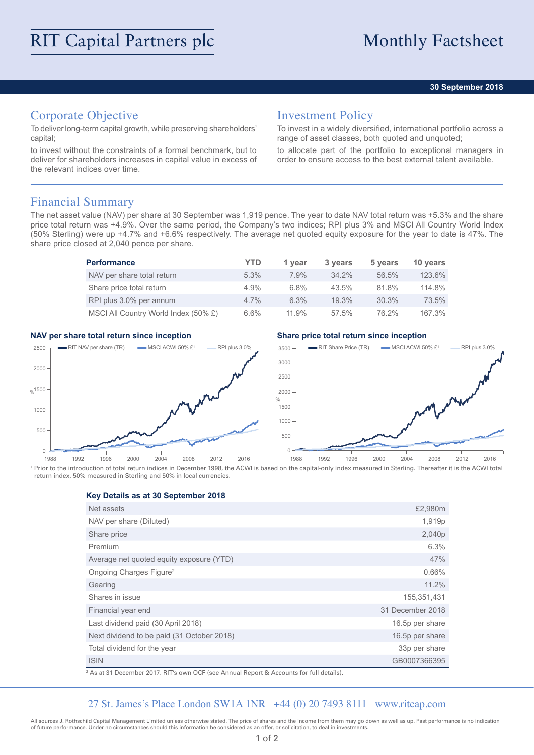### **30 September 2018**

## Corporate Objective

To deliver long-term capital growth, while preserving shareholders' capital;

to invest without the constraints of a formal benchmark, but to deliver for shareholders increases in capital value in excess of the relevant indices over time.

## Investment Policy

To invest in a widely diversified, international portfolio across a range of asset classes, both quoted and unquoted;

to allocate part of the portfolio to exceptional managers in order to ensure access to the best external talent available.

## Financial Summary

The net asset value (NAV) per share at 30 September was 1,919 pence. The year to date NAV total return was +5.3% and the share price total return was +4.9%. Over the same period, the Company's two indices; RPI plus 3% and MSCI All Country World Index (50% Sterling) were up +4.7% and +6.6% respectively. The average net quoted equity exposure for the year to date is 47%. The share price closed at 2,040 pence per share.

| <b>Performance</b>                   | YTD     | 1 vear | 3 years  | 5 years | 10 years |
|--------------------------------------|---------|--------|----------|---------|----------|
| NAV per share total return           | $5.3\%$ | 7.9%   | $34.2\%$ | 56.5%   | 123.6%   |
| Share price total return             | 4.9%    | 6.8%   | 43.5%    | 81.8%   | 114.8%   |
| RPI plus 3.0% per annum              | $4.7\%$ | 6.3%   | $19.3\%$ | 30.3%   | 73.5%    |
| MSCI All Country World Index (50% £) | $6.6\%$ | 11.9%  | 57.5%    | 76.2%   | 167.3%   |

### **NAV per share total return since inception Share price total return since inception**



<sup>1</sup> Prior to the introduction of total return indices in December 1998, the ACWI is based on the capital-only index measured in Sterling. Thereafter it is the ACWI total return index, 50% measured in Sterling and 50% in local currencies.

**Key Details as at 30 September 2018**

| Net assets                                 | £2,980m          |
|--------------------------------------------|------------------|
| NAV per share (Diluted)                    | 1,919p           |
| Share price                                | 2,040p           |
| Premium                                    | 6.3%             |
| Average net quoted equity exposure (YTD)   | 47%              |
| Ongoing Charges Figure <sup>2</sup>        | 0.66%            |
| Gearing                                    | 11.2%            |
| Shares in issue                            | 155,351,431      |
| Financial year end                         | 31 December 2018 |
| Last dividend paid (30 April 2018)         | 16.5p per share  |
| Next dividend to be paid (31 October 2018) | 16.5p per share  |
| Total dividend for the year                | 33p per share    |
| <b>ISIN</b>                                | GB0007366395     |

2 As at 31 December 2017. RIT's own OCF (see Annual Report & Accounts for full details).

### 27 St. James's Place London SW1A 1NR +44 (0) 20 7493 8111 www.ritcap.com

All sources J. Rothschild Capital Management Limited unless otherwise stated. The price of shares and the income from them may go down as well as up. Past performance is no indication of future performance. Under no circumstances should this information be considered as an offer, or solicitation, to deal in investments.